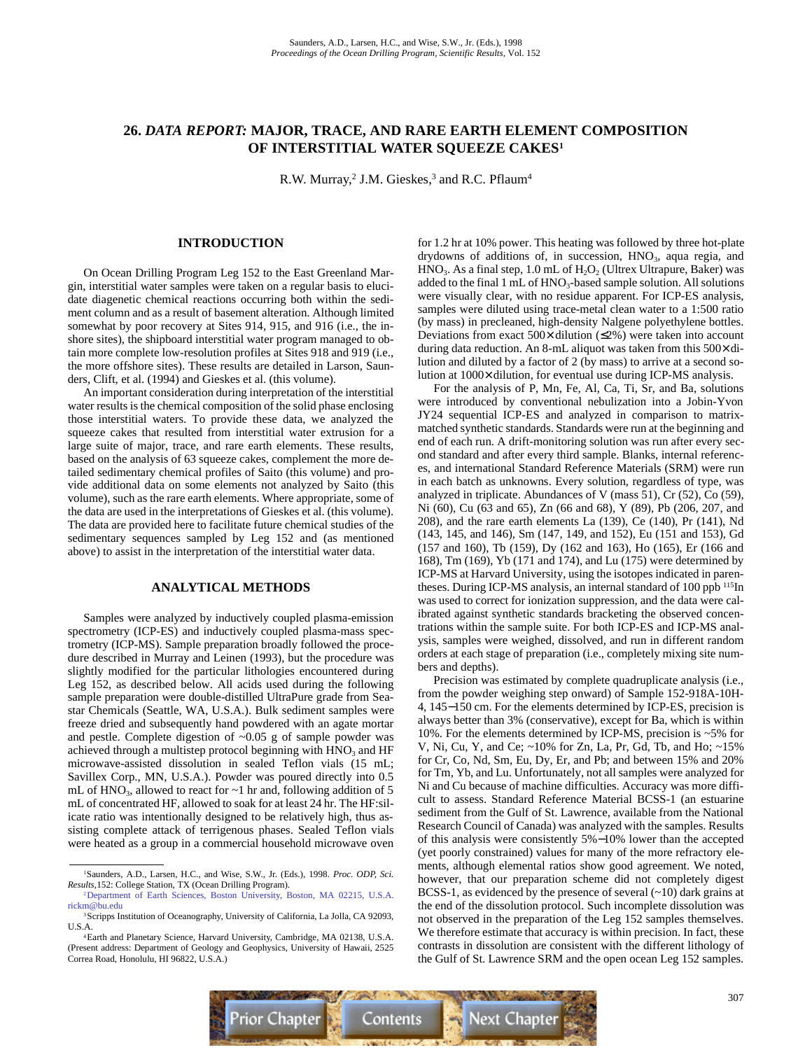# **26.** *DATA REPORT:* **MAJOR, TRACE, AND RARE EARTH ELEMENT COMPOSITION OF INTERSTITIAL WATER SQUEEZE CAKES1**

R.W. Murray,<sup>2</sup> J.M. Gieskes,<sup>3</sup> and R.C. Pflaum<sup>4</sup>

### **INTRODUCTION**

On Ocean Drilling Program Leg 152 to the East Greenland Margin, interstitial water samples were taken on a regular basis to elucidate diagenetic chemical reactions occurring both within the sediment column and as a result of basement alteration. Although limited somewhat by poor recovery at Sites 914, 915, and 916 (i.e., the inshore sites), the shipboard interstitial water program managed to obtain more complete low-resolution profiles at Sites 918 and 919 (i.e., the more offshore sites). These results are detailed in Larson, Saunders, Clift, et al. (1994) and Gieskes et al. (this volume).

An important consideration during interpretation of the interstitial water results is the chemical composition of the solid phase enclosing those interstitial waters. To provide these data, we analyzed the squeeze cakes that resulted from interstitial water extrusion for a large suite of major, trace, and rare earth elements. These results, based on the analysis of 63 squeeze cakes, complement the more detailed sedimentary chemical profiles of Saito (this volume) and provide additional data on some elements not analyzed by Saito (this volume), such as the rare earth elements. Where appropriate, some of the data are used in the interpretations of Gieskes et al. (this volume). The data are provided here to facilitate future chemical studies of the sedimentary sequences sampled by Leg 152 and (as mentioned above) to assist in the interpretation of the interstitial water data.

### **ANALYTICAL METHODS**

Samples were analyzed by inductively coupled plasma-emission spectrometry (ICP-ES) and inductively coupled plasma-mass spectrometry (ICP-MS). Sample preparation broadly followed the procedure described in Murray and Leinen (1993), but the procedure was slightly modified for the particular lithologies encountered during Leg 152, as described below. All acids used during the following sample preparation were double-distilled UltraPure grade from Seastar Chemicals (Seattle, WA, U.S.A.). Bulk sediment samples were freeze dried and subsequently hand powdered with an agate mortar and pestle. Complete digestion of ~0.05 g of sample powder was achieved through a multistep protocol beginning with  $HNO<sub>3</sub>$  and  $HF$ microwave-assisted dissolution in sealed Teflon vials (15 mL; Savillex Corp., MN, U.S.A.). Powder was poured directly into 0.5 mL of HNO<sub>3</sub>, allowed to react for  $\sim$ 1 hr and, following addition of 5 mL of concentrated HF, allowed to soak for at least 24 hr. The HF:silicate ratio was intentionally designed to be relatively high, thus assisting complete attack of terrigenous phases. Sealed Teflon vials were heated as a group in a commercial household microwave oven for 1.2 hr at 10% power. This heating was followed by three hot-plate drydowns of additions of, in succession,  $HNO<sub>3</sub>$ , aqua regia, and  $HNO<sub>3</sub>$ . As a final step, 1.0 mL of  $H<sub>2</sub>O<sub>2</sub>$  (Ultrex Ultrapure, Baker) was added to the final 1 mL of  $HNO_3$ -based sample solution. All solutions were visually clear, with no residue apparent. For ICP-ES analysis, samples were diluted using trace-metal clean water to a 1:500 ratio (by mass) in precleaned, high-density Nalgene polyethylene bottles. Deviations from exact  $500 \times$  dilution ( $\leq 2\%$ ) were taken into account during data reduction. An 8-mL aliquot was taken from this 500× dilution and diluted by a factor of 2 (by mass) to arrive at a second solution at 1000× dilution, for eventual use during ICP-MS analysis.

For the analysis of P, Mn, Fe, Al, Ca, Ti, Sr, and Ba, solutions were introduced by conventional nebulization into a Jobin-Yvon JY24 sequential ICP-ES and analyzed in comparison to matrixmatched synthetic standards. Standards were run at the beginning and end of each run. A drift-monitoring solution was run after every second standard and after every third sample. Blanks, internal references, and international Standard Reference Materials (SRM) were run in each batch as unknowns. Every solution, regardless of type, was analyzed in triplicate. Abundances of V (mass 51), Cr (52), Co (59), Ni (60), Cu (63 and 65), Zn (66 and 68), Y (89), Pb (206, 207, and 208), and the rare earth elements La (139), Ce (140), Pr (141), Nd (143, 145, and 146), Sm (147, 149, and 152), Eu (151 and 153), Gd (157 and 160), Tb (159), Dy (162 and 163), Ho (165), Er (166 and 168), Tm (169), Yb (171 and 174), and Lu (175) were determined by ICP-MS at Harvard University, using the isotopes indicated in parentheses. During ICP-MS analysis, an internal standard of 100 ppb <sup>115</sup>In was used to correct for ionization suppression, and the data were calibrated against synthetic standards bracketing the observed concentrations within the sample suite. For both ICP-ES and ICP-MS analysis, samples were weighed, dissolved, and run in different random orders at each stage of preparation (i.e., completely mixing site numbers and depths).

Precision was estimated by complete quadruplicate analysis (i.e., from the powder weighing step onward) of Sample 152-918A-10H-4, 145−150 cm. For the elements determined by ICP-ES, precision is always better than 3% (conservative), except for Ba, which is within 10%. For the elements determined by ICP-MS, precision is ~5% for V, Ni, Cu, Y, and Ce; ~10% for Zn, La, Pr, Gd, Tb, and Ho; ~15% for Cr, Co, Nd, Sm, Eu, Dy, Er, and Pb; and between 15% and 20% for Tm, Yb, and Lu. Unfortunately, not all samples were analyzed for Ni and Cu because of machine difficulties. Accuracy was more difficult to assess. Standard Reference Material BCSS-1 (an estuarine sediment from the Gulf of St. Lawrence, available from the National Research Council of Canada) was analyzed with the samples. Results of this analysis were consistently 5%−10% lower than the accepted (yet poorly constrained) values for many of the more refractory elements, although elemental ratios show good agreement. We noted, however, that our preparation scheme did not completely digest BCSS-1, as evidenced by the presence of several  $(-10)$  dark grains at the end of the dissolution protocol. Such incomplete dissolution was not observed in the preparation of the Leg 152 samples themselves. We therefore estimate that accuracy is within precision. In fact, these contrasts in dissolution are consistent with the different lithology of the Gulf of St. Lawrence SRM and the open ocean Leg 152 samples.



<sup>1</sup>Saunders, A.D., Larsen, H.C., and Wise, S.W., Jr. (Eds.), 1998. *Proc. ODP, Sci. Results,*152: College Station, TX (Ocean Drilling Program).

[<sup>2</sup>Department of Earth Sciences, Boston University, Boston, MA 02215, U.S.A.](mailto:rickm@bu.edu) rickm@bu.edu <sup>3</sup>Scripps Institution of Oceanography, University of California, La Jolla, CA 92093,

U.S.A.

<sup>4</sup>Earth and Planetary Science, Harvard University, Cambridge, MA 02138, U.S.A. (Present address: Department of Geology and Geophysics, University of Hawaii, 2525 Correa Road, Honolulu, HI 96822, U.S.A.)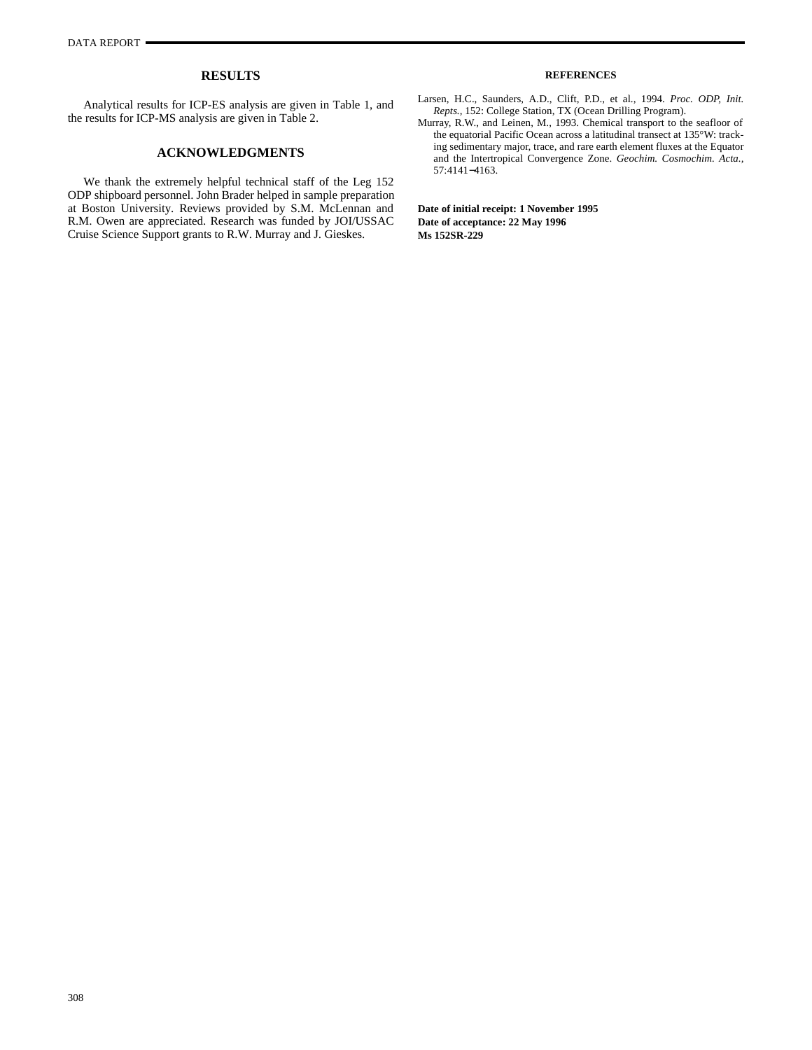### **RESULTS**

Analytical results for ICP-ES analysis are given in Table 1, and the results for ICP-MS analysis are given in Table 2.

## **ACKNOWLEDGMENTS**

We thank the extremely helpful technical staff of the Leg 152 ODP shipboard personnel. John Brader helped in sample preparation at Boston University. Reviews provided by S.M. McLennan and R.M. Owen are appreciated. Research was funded by JOI/USSAC Cruise Science Support grants to R.W. Murray and J. Gieskes.

### **REFERENCES**

- Larsen, H.C., Saunders, A.D., Clift, P.D., et al., 1994. *Proc. ODP, Init. Repts.,* 152: College Station, TX (Ocean Drilling Program).
- Murray, R.W., and Leinen, M., 1993. Chemical transport to the seafloor of the equatorial Pacific Ocean across a latitudinal transect at 135°W: tracking sedimentary major, trace, and rare earth element fluxes at the Equator and the Intertropical Convergence Zone. *Geochim. Cosmochim. Acta.,* 57:4141−4163.

**Date of initial receipt: 1 November 1995 Date of acceptance: 22 May 1996 Ms 152SR-229**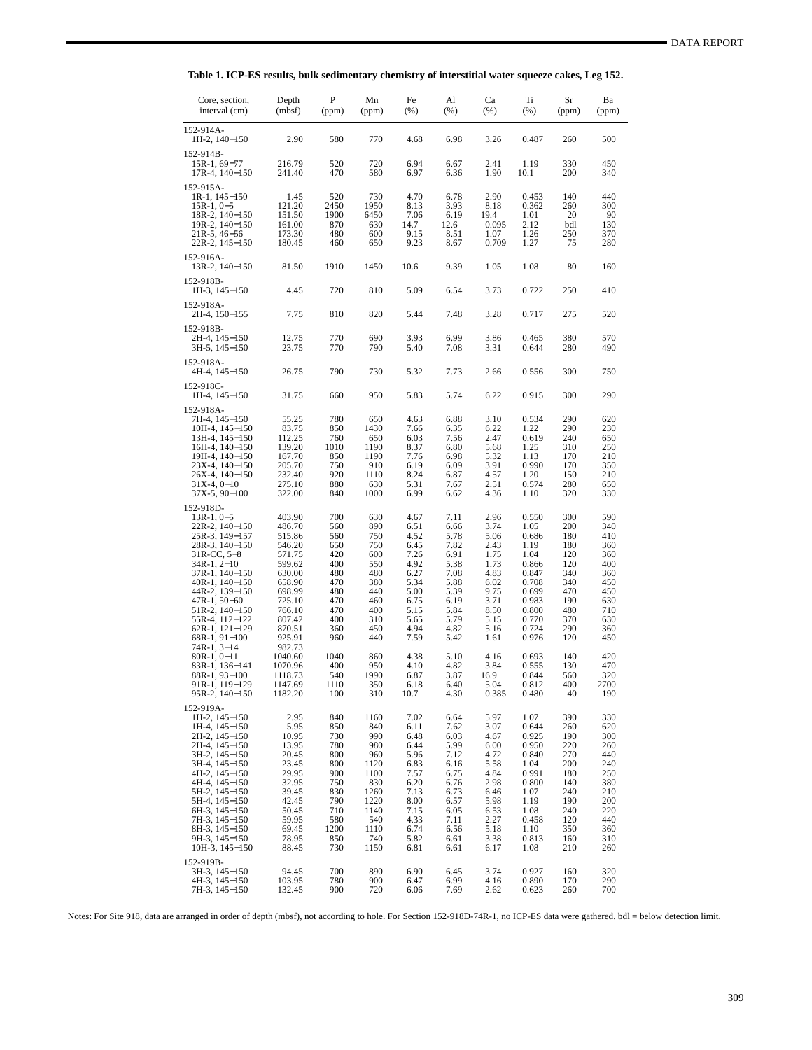| Core, section,<br>interval (cm)                                                                                                                                                                                                                                                          | Depth<br>(mbsf)                                                                                                                                    | P<br>(ppm)                                                                                             | Mn<br>(ppm)                                                                                                   | Fe<br>$(\% )$                                                                                                        | Al<br>(%)                                                                                                            | Ca<br>(% )                                                                                                           | Ti<br>$(\% )$                                                                                                                | Sr<br>(ppm)                                                                                           | Ba<br>(ppm)                                                                                           |
|------------------------------------------------------------------------------------------------------------------------------------------------------------------------------------------------------------------------------------------------------------------------------------------|----------------------------------------------------------------------------------------------------------------------------------------------------|--------------------------------------------------------------------------------------------------------|---------------------------------------------------------------------------------------------------------------|----------------------------------------------------------------------------------------------------------------------|----------------------------------------------------------------------------------------------------------------------|----------------------------------------------------------------------------------------------------------------------|------------------------------------------------------------------------------------------------------------------------------|-------------------------------------------------------------------------------------------------------|-------------------------------------------------------------------------------------------------------|
| 152-914A-<br>$1H-2$ , $140-150$                                                                                                                                                                                                                                                          | 2.90                                                                                                                                               | 580                                                                                                    | 770                                                                                                           | 4.68                                                                                                                 | 6.98                                                                                                                 | 3.26                                                                                                                 | 0.487                                                                                                                        | 260                                                                                                   | 500                                                                                                   |
| 152-914B-<br>15R-1, 69-77<br>$17R-4$ , $140-150$                                                                                                                                                                                                                                         | 216.79<br>241.40                                                                                                                                   | 520<br>470                                                                                             | 720<br>580                                                                                                    | 6.94<br>6.97                                                                                                         | 6.67<br>6.36                                                                                                         | 2.41<br>1.90                                                                                                         | 1.19<br>10.1                                                                                                                 | 330<br>200                                                                                            | 450<br>340                                                                                            |
| 152-915A-<br>$1R-1$ , $145-150$<br>$15R-1, 0-5$<br>$18R-2$ , $140-150$<br>19R-2, 140-150<br>21R-5, 46–56<br>22R-2, 145–150                                                                                                                                                               | 1.45<br>121.20<br>151.50<br>161.00<br>173.30<br>180.45                                                                                             | 520<br>2450<br>1900<br>870<br>480<br>460                                                               | 730<br>1950<br>6450<br>630<br>600<br>650                                                                      | 4.70<br>8.13<br>7.06<br>14.7<br>9.15<br>9.23                                                                         | 6.78<br>3.93<br>6.19<br>12.6<br>8.51<br>8.67                                                                         | 2.90<br>8.18<br>19.4<br>0.095<br>1.07<br>0.709                                                                       | 0.453<br>0.362<br>1.01<br>2.12<br>1.26<br>1.27                                                                               | 140<br>260<br>20<br>bdl<br>250<br>75                                                                  | 440<br>300<br>90<br>130<br>370<br>280                                                                 |
| 152-916A-<br>$13R-2$ , $140-150$                                                                                                                                                                                                                                                         | 81.50                                                                                                                                              | 1910                                                                                                   | 1450                                                                                                          | 10.6                                                                                                                 | 9.39                                                                                                                 | 1.05                                                                                                                 | 1.08                                                                                                                         | 80                                                                                                    | 160                                                                                                   |
| 152-918B-<br>$1H-3$ , $145-150$                                                                                                                                                                                                                                                          | 4.45                                                                                                                                               | 720                                                                                                    | 810                                                                                                           | 5.09                                                                                                                 | 6.54                                                                                                                 | 3.73                                                                                                                 | 0.722                                                                                                                        | 250                                                                                                   | 410                                                                                                   |
| 152-918A-<br>2H-4, 150–155                                                                                                                                                                                                                                                               | 7.75                                                                                                                                               | 810                                                                                                    | 820                                                                                                           | 5.44                                                                                                                 | 7.48                                                                                                                 | 3.28                                                                                                                 | 0.717                                                                                                                        | 275                                                                                                   | 520                                                                                                   |
| 152-918B-<br>2H-4, 145–150<br>3H-5, 145–150                                                                                                                                                                                                                                              | 12.75<br>23.75                                                                                                                                     | 770<br>770                                                                                             | 690<br>790                                                                                                    | 3.93<br>5.40                                                                                                         | 6.99<br>7.08                                                                                                         | 3.86<br>3.31                                                                                                         | 0.465<br>0.644                                                                                                               | 380<br>280                                                                                            | 570<br>490                                                                                            |
| 152-918A-<br>4H-4, 145-150                                                                                                                                                                                                                                                               | 26.75                                                                                                                                              | 790                                                                                                    | 730                                                                                                           | 5.32                                                                                                                 | 7.73                                                                                                                 | 2.66                                                                                                                 | 0.556                                                                                                                        | 300                                                                                                   | 750                                                                                                   |
| 152-918C-<br>$1H-4$ , $145-150$                                                                                                                                                                                                                                                          | 31.75                                                                                                                                              | 660                                                                                                    | 950                                                                                                           | 5.83                                                                                                                 | 5.74                                                                                                                 | 6.22                                                                                                                 | 0.915                                                                                                                        | 300                                                                                                   | 290                                                                                                   |
| 152-918A-<br>7H-4, 145-150<br>$10H-4$ , $145-150$<br>13H-4, 145–150<br>$16H-4$ , $140-150$<br>19H-4, 140-150<br>23X-4, 140-150<br>26X-4, 140-150<br>$31X-4, 0-10$<br>$37X-5, 90-100$                                                                                                     | 55.25<br>83.75<br>112.25<br>139.20<br>167.70<br>205.70<br>232.40<br>275.10<br>322.00                                                               | 780<br>850<br>760<br>1010<br>850<br>750<br>920<br>880<br>840                                           | 650<br>1430<br>650<br>1190<br>1190<br>910<br>1110<br>630<br>1000                                              | 4.63<br>7.66<br>6.03<br>8.37<br>7.76<br>6.19<br>8.24<br>5.31<br>6.99                                                 | 6.88<br>6.35<br>7.56<br>6.80<br>6.98<br>6.09<br>6.87<br>7.67<br>6.62                                                 | 3.10<br>6.22<br>2.47<br>5.68<br>5.32<br>3.91<br>4.57<br>2.51<br>4.36                                                 | 0.534<br>1.22<br>0.619<br>1.25<br>1.13<br>0.990<br>1.20<br>0.574<br>1.10                                                     | 290<br>290<br>240<br>310<br>170<br>170<br>150<br>280<br>320                                           | 620<br>230<br>650<br>250<br>210<br>350<br>210<br>650<br>330                                           |
| 152-918D-<br>$13R-1, 0-5$<br>22R-2, 140-150<br>25R-3, 149–157<br>28R-3, 140-150<br>$31R$ -CC, 5–8<br>$34R-1, 2-10$<br>37R-1, 140-150<br>40R-1, 140–150<br>44R-2, 139–150<br>47R-1, 50–60<br>51R-2, 140–150<br>55R-4, 112–122<br>62R-1, 121-129<br>68R-1, 91-100<br>$74R-1, 3-14$         | 403.90<br>486.70<br>515.86<br>546.20<br>571.75<br>599.62<br>630.00<br>658.90<br>698.99<br>725.10<br>766.10<br>807.42<br>870.51<br>925.91<br>982.73 | 700<br>560<br>560<br>650<br>420<br>400<br>480<br>470<br>480<br>470<br>470<br>400<br>360<br>960         | 630<br>890<br>750<br>750<br>600<br>550<br>480<br>380<br>440<br>460<br>400<br>310<br>450<br>440                | 4.67<br>6.51<br>4.52<br>6.45<br>7.26<br>4.92<br>6.27<br>5.34<br>5.00<br>6.75<br>5.15<br>5.65<br>4.94<br>7.59         | 7.11<br>6.66<br>5.78<br>7.82<br>6.91<br>5.38<br>7.08<br>5.88<br>5.39<br>6.19<br>5.84<br>5.79<br>4.82<br>5.42         | 2.96<br>3.74<br>5.06<br>2.43<br>1.75<br>1.73<br>4.83<br>6.02<br>9.75<br>3.71<br>8.50<br>5.15<br>5.16<br>1.61         | 0.550<br>1.05<br>0.686<br>1.19<br>1.04<br>0.866<br>0.847<br>0.708<br>0.699<br>0.983<br>0.800<br>0.770<br>0.724<br>0.976      | 300<br>200<br>180<br>180<br>120<br>120<br>340<br>340<br>470<br>190<br>480<br>370<br>290<br>120        | 590<br>340<br>410<br>360<br>360<br>400<br>360<br>450<br>450<br>630<br>710<br>630<br>360<br>450        |
| $80R-1, 0-11$<br>83R-1, 136–141<br>88R-1, 93-100<br>91R-1, 119–129<br>95R-2, 140–150                                                                                                                                                                                                     | 1040.60<br>1070.96<br>1118.73<br>1147.69<br>1182.20                                                                                                | 1040<br>400<br>540<br>1110<br>100                                                                      | 860<br>950<br>1990<br>350<br>310                                                                              | 4.38<br>4.10<br>6.87<br>6.18<br>10.7                                                                                 | 5.10<br>4.82<br>3.87<br>6.40<br>4.30                                                                                 | 4.16<br>3.84<br>16.9<br>5.04<br>0.385                                                                                | 0.693<br>0.555<br>0.844<br>0.812<br>0.480                                                                                    | 140<br>130<br>560<br>400<br>40                                                                        | 420<br>470<br>320<br>2700<br>190                                                                      |
| 152-919A-<br>$1H-2$ , $145-150$<br>$1H-4$ , $145-150$<br>2H-2, 145–150<br>2H-4, 145–150<br>3H-2, 145-150<br>3H-4, 145-150<br>4H-2, 145–150<br>4H-4, 145-150<br>5H-2, 145-150<br>5H-4, 145–150<br>6H-3, 145-150<br>7H-3, 145-150<br>8H-3, 145–150<br>9H-3, 145–150<br>$10H-3$ , $145-150$ | 2.95<br>5.95<br>10.95<br>13.95<br>20.45<br>23.45<br>29.95<br>32.95<br>39.45<br>42.45<br>50.45<br>59.95<br>69.45<br>78.95<br>88.45                  | 840<br>850<br>730<br>780<br>800<br>800<br>900<br>750<br>830<br>790<br>710<br>580<br>1200<br>850<br>730 | 1160<br>840<br>990<br>980<br>960<br>1120<br>1100<br>830<br>1260<br>1220<br>1140<br>540<br>1110<br>740<br>1150 | 7.02<br>6.11<br>6.48<br>6.44<br>5.96<br>6.83<br>7.57<br>6.20<br>7.13<br>8.00<br>7.15<br>4.33<br>6.74<br>5.82<br>6.81 | 6.64<br>7.62<br>6.03<br>5.99<br>7.12<br>6.16<br>6.75<br>6.76<br>6.73<br>6.57<br>6.05<br>7.11<br>6.56<br>6.61<br>6.61 | 5.97<br>3.07<br>4.67<br>6.00<br>4.72<br>5.58<br>4.84<br>2.98<br>6.46<br>5.98<br>6.53<br>2.27<br>5.18<br>3.38<br>6.17 | 1.07<br>0.644<br>0.925<br>0.950<br>0.840<br>1.04<br>0.991<br>0.800<br>1.07<br>1.19<br>1.08<br>0.458<br>1.10<br>0.813<br>1.08 | 390<br>260<br>190<br>220<br>270<br>200<br>180<br>140<br>240<br>190<br>240<br>120<br>350<br>160<br>210 | 330<br>620<br>300<br>260<br>440<br>240<br>250<br>380<br>210<br>200<br>220<br>440<br>360<br>310<br>260 |
| 152-919B-<br>3H-3, 145-150<br>4H-3, 145–150<br>7H-3, 145-150                                                                                                                                                                                                                             | 94.45<br>103.95<br>132.45                                                                                                                          | 700<br>780<br>900                                                                                      | 890<br>900<br>720                                                                                             | 6.90<br>6.47<br>6.06                                                                                                 | 6.45<br>6.99<br>7.69                                                                                                 | 3.74<br>4.16<br>2.62                                                                                                 | 0.927<br>0.890<br>0.623                                                                                                      | 160<br>170<br>260                                                                                     | 320<br>290<br>700                                                                                     |

**Table 1. ICP-ES results, bulk sedimentary chemistry of interstitial water squeeze cakes, Leg 152.**

Notes: For Site 918, data are arranged in order of depth (mbsf), not according to hole. For Section 152-918D-74R-1, no ICP-ES data were gathered. bdl = below detection limit.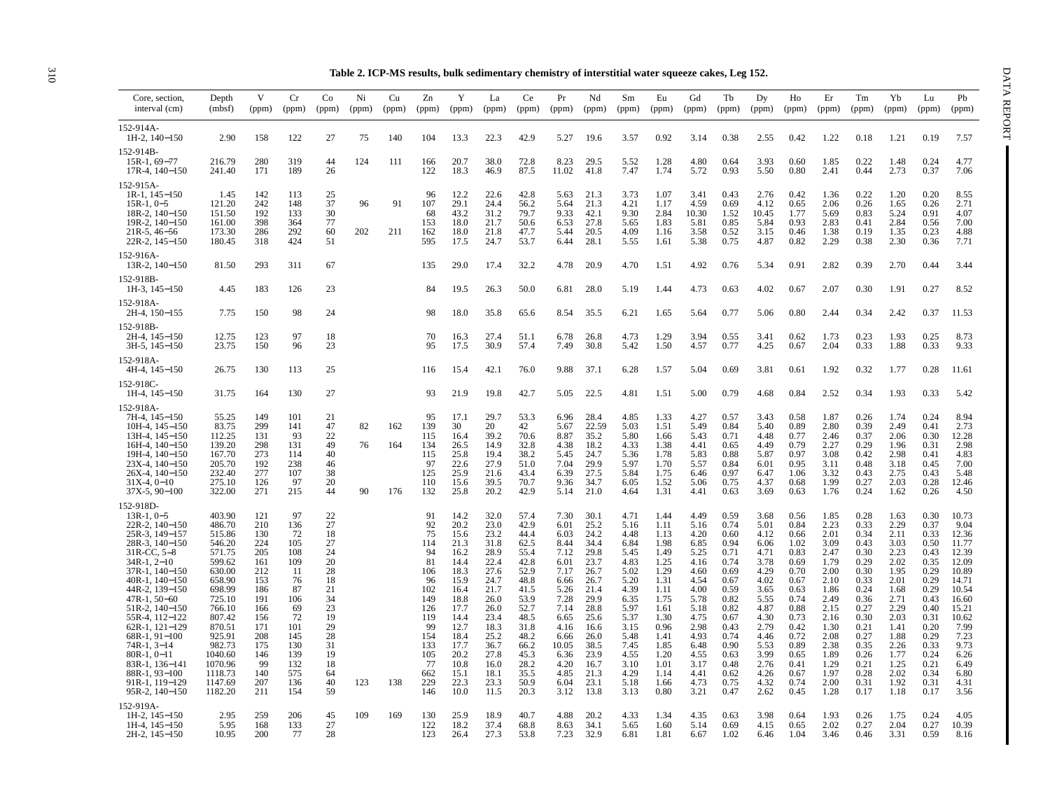| Table 2. ICP-MS results, bulk sedimentary chemistry of interstitial water squeeze cakes, Leg 152 |  |  |  |
|--------------------------------------------------------------------------------------------------|--|--|--|
|                                                                                                  |  |  |  |

|                                                                                                                                                                                                                                                                                                                                                                                     | Table 2. ICP-MS results, bulk sedimentary chemistry of interstitial water squeeze cakes, Leg 152.                                                                                                         |                                                                                                                                         |                                                                                                                                    |                                                                                                                      |                |                   |                                                                                                                                  |                                                                                                                                                              |                                                                                                                                                              |                                                                                                                                                              |                                                                                                                                                               |                                                                                                                                                              |                                                                                                                                                              |                                                                                                                                                              |                                                                                                                                                              |                                                                                                                                                              |                                                                                                                                                              |                                                                                                                                                              |                                                                                                                                                              |                                                                                                                                                              |                                                                                                                                                              |                                                                                                                                                              |                                                                                                                                                                         |
|-------------------------------------------------------------------------------------------------------------------------------------------------------------------------------------------------------------------------------------------------------------------------------------------------------------------------------------------------------------------------------------|-----------------------------------------------------------------------------------------------------------------------------------------------------------------------------------------------------------|-----------------------------------------------------------------------------------------------------------------------------------------|------------------------------------------------------------------------------------------------------------------------------------|----------------------------------------------------------------------------------------------------------------------|----------------|-------------------|----------------------------------------------------------------------------------------------------------------------------------|--------------------------------------------------------------------------------------------------------------------------------------------------------------|--------------------------------------------------------------------------------------------------------------------------------------------------------------|--------------------------------------------------------------------------------------------------------------------------------------------------------------|---------------------------------------------------------------------------------------------------------------------------------------------------------------|--------------------------------------------------------------------------------------------------------------------------------------------------------------|--------------------------------------------------------------------------------------------------------------------------------------------------------------|--------------------------------------------------------------------------------------------------------------------------------------------------------------|--------------------------------------------------------------------------------------------------------------------------------------------------------------|--------------------------------------------------------------------------------------------------------------------------------------------------------------|--------------------------------------------------------------------------------------------------------------------------------------------------------------|--------------------------------------------------------------------------------------------------------------------------------------------------------------|--------------------------------------------------------------------------------------------------------------------------------------------------------------|--------------------------------------------------------------------------------------------------------------------------------------------------------------|--------------------------------------------------------------------------------------------------------------------------------------------------------------|--------------------------------------------------------------------------------------------------------------------------------------------------------------|-------------------------------------------------------------------------------------------------------------------------------------------------------------------------|
| Core, section,<br>interval (cm)                                                                                                                                                                                                                                                                                                                                                     | Depth<br>(mbf)                                                                                                                                                                                            | V<br>(ppm)                                                                                                                              | Cr<br>(ppm)                                                                                                                        | Co<br>(ppm)                                                                                                          | Ni<br>(ppm)    | Cu<br>(ppm)       | Zn<br>(ppm)                                                                                                                      | Y<br>(ppm)                                                                                                                                                   | La<br>(ppm)                                                                                                                                                  | Ce<br>(ppm)                                                                                                                                                  | Pr<br>(ppm)                                                                                                                                                   | Nd<br>(ppm)                                                                                                                                                  | Sm<br>(ppm)                                                                                                                                                  | Eu<br>(ppm)                                                                                                                                                  | Gd<br>(ppm)                                                                                                                                                  | Tb<br>(ppm)                                                                                                                                                  | Dy<br>(ppm)                                                                                                                                                  | Ho<br>(ppm)                                                                                                                                                  | Er<br>(ppm)                                                                                                                                                  | Tm<br>(ppm)                                                                                                                                                  | Yb<br>(ppm)                                                                                                                                                  | Lu<br>(ppm)                                                                                                                                                  | Pb<br>(ppm)                                                                                                                                                             |
| 152-914A-<br>1H-2, 140-150                                                                                                                                                                                                                                                                                                                                                          | 2.90                                                                                                                                                                                                      | 158                                                                                                                                     | 122                                                                                                                                | 27                                                                                                                   | 75             | 140               | 104                                                                                                                              | 13.3                                                                                                                                                         | 22.3                                                                                                                                                         | 42.9                                                                                                                                                         | 5.27                                                                                                                                                          | 19.6                                                                                                                                                         | 3.57                                                                                                                                                         | 0.92                                                                                                                                                         | 3.14                                                                                                                                                         | 0.38                                                                                                                                                         | 2.55                                                                                                                                                         | 0.42                                                                                                                                                         | 1.22                                                                                                                                                         | 0.18                                                                                                                                                         | 1.21                                                                                                                                                         | 0.19                                                                                                                                                         | 7.57                                                                                                                                                                    |
| 152-914B<br>$15R-1, 69-77$<br>$17R-4$ , $140-150$                                                                                                                                                                                                                                                                                                                                   | 216.79<br>241.40                                                                                                                                                                                          | 280<br>171                                                                                                                              | 319<br>189                                                                                                                         | 44<br>26                                                                                                             | 124            | 111               | 166<br>122                                                                                                                       | 20.7<br>18.3                                                                                                                                                 | 38.0<br>46.9                                                                                                                                                 | 72.8<br>87.5                                                                                                                                                 | 8.23<br>11.02                                                                                                                                                 | 29.5<br>41.8                                                                                                                                                 | 5.52<br>7.47                                                                                                                                                 | 1.28<br>1.74                                                                                                                                                 | 4.80<br>5.72                                                                                                                                                 | 0.64<br>0.93                                                                                                                                                 | 3.93<br>5.50                                                                                                                                                 | 0.60<br>0.80                                                                                                                                                 | 1.85<br>2.41                                                                                                                                                 | 0.22<br>0.44                                                                                                                                                 | 1.48<br>2.73                                                                                                                                                 | 0.24<br>0.37                                                                                                                                                 | 4.77<br>7.06                                                                                                                                                            |
| 152-915A-<br>$1R-1$ , $145-150$<br>$15R-1, 0-5$<br>18R-2, 140–150<br>19R-2, 140-150<br>$21R-5, 46-56$<br>22R-2, 145-150                                                                                                                                                                                                                                                             | 1.45<br>121.20<br>151.50<br>161.00<br>173.30<br>180.45                                                                                                                                                    | 142<br>242<br>192<br>398<br>286<br>318                                                                                                  | 113<br>148<br>133<br>364<br>292<br>424                                                                                             | 25<br>37<br>30<br>77<br>60<br>51                                                                                     | 96<br>202      | 91<br>211         | 96<br>107<br>68<br>153<br>162<br>595                                                                                             | 12.2<br>29.1<br>43.2<br>18.0<br>18.0<br>17.5                                                                                                                 | 22.6<br>24.4<br>31.2<br>21.7<br>21.8<br>24.7                                                                                                                 | 42.8<br>56.2<br>79.7<br>50.6<br>47.7<br>53.7                                                                                                                 | 5.63<br>5.64<br>9.33<br>6.53<br>5.44<br>6.44                                                                                                                  | 21.3<br>21.3<br>42.1<br>27.8<br>20.5<br>28.1                                                                                                                 | 3.73<br>4.21<br>9.30<br>5.65<br>4.09<br>5.55                                                                                                                 | 1.07<br>1.17<br>2.84<br>1.83<br>1.16<br>1.61                                                                                                                 | 3.41<br>4.59<br>10.30<br>5.81<br>3.58<br>5.38                                                                                                                | 0.43<br>0.69<br>1.52<br>0.85<br>0.52<br>0.75                                                                                                                 | 2.76<br>4.12<br>10.45<br>5.84<br>3.15<br>4.87                                                                                                                | 0.42<br>0.65<br>1.77<br>0.93<br>0.46<br>0.82                                                                                                                 | 1.36<br>2.06<br>5.69<br>2.83<br>1.38<br>2.29                                                                                                                 | 0.22<br>0.26<br>0.83<br>0.41<br>0.19<br>0.38                                                                                                                 | 1.20<br>1.65<br>5.24<br>2.84<br>1.35<br>2.30                                                                                                                 | 0.20<br>0.26<br>0.91<br>0.56<br>0.23<br>0.36                                                                                                                 | 8.55<br>2.71<br>4.07<br>7.00<br>4.88<br>7.71                                                                                                                            |
| 152-916A-<br>$13R-2$ , $140-150$                                                                                                                                                                                                                                                                                                                                                    | 81.50                                                                                                                                                                                                     | 293                                                                                                                                     | 311                                                                                                                                | 67                                                                                                                   |                |                   | 135                                                                                                                              | 29.0                                                                                                                                                         | 17.4                                                                                                                                                         | 32.2                                                                                                                                                         | 4.78                                                                                                                                                          | 20.9                                                                                                                                                         | 4.70                                                                                                                                                         | 1.51                                                                                                                                                         | 4.92                                                                                                                                                         | 0.76                                                                                                                                                         | 5.34                                                                                                                                                         | 0.91                                                                                                                                                         | 2.82                                                                                                                                                         | 0.39                                                                                                                                                         | 2.70                                                                                                                                                         | 0.44                                                                                                                                                         | 3.44                                                                                                                                                                    |
| 152-918B<br>1H-3, 145-150                                                                                                                                                                                                                                                                                                                                                           | 4.45                                                                                                                                                                                                      | 183                                                                                                                                     | 126                                                                                                                                | 23                                                                                                                   |                |                   | 84                                                                                                                               | 19.5                                                                                                                                                         | 26.3                                                                                                                                                         | 50.0                                                                                                                                                         | 6.81                                                                                                                                                          | 28.0                                                                                                                                                         | 5.19                                                                                                                                                         | 1.44                                                                                                                                                         | 4.73                                                                                                                                                         | 0.63                                                                                                                                                         | 4.02                                                                                                                                                         | 0.67                                                                                                                                                         | 2.07                                                                                                                                                         | 0.30                                                                                                                                                         | 1.91                                                                                                                                                         | 0.27                                                                                                                                                         | 8.52                                                                                                                                                                    |
| 152-918A-<br>2H-4, 150-155                                                                                                                                                                                                                                                                                                                                                          | 7.75                                                                                                                                                                                                      | 150                                                                                                                                     | 98                                                                                                                                 | 24                                                                                                                   |                |                   | 98                                                                                                                               | 18.0                                                                                                                                                         | 35.8                                                                                                                                                         | 65.6                                                                                                                                                         | 8.54                                                                                                                                                          | 35.5                                                                                                                                                         | 6.21                                                                                                                                                         | 1.65                                                                                                                                                         | 5.64                                                                                                                                                         | 0.77                                                                                                                                                         | 5.06                                                                                                                                                         | 0.80                                                                                                                                                         | 2.44                                                                                                                                                         | 0.34                                                                                                                                                         | 2.42                                                                                                                                                         | 0.37                                                                                                                                                         | 11.53                                                                                                                                                                   |
| 152-918B·<br>2H-4, 145-150<br>$3H-5$ , $145-150$                                                                                                                                                                                                                                                                                                                                    | 12.75<br>23.75                                                                                                                                                                                            | 123<br>150                                                                                                                              | 97<br>96                                                                                                                           | 18<br>23                                                                                                             |                |                   | 70<br>95                                                                                                                         | 16.3<br>17.5                                                                                                                                                 | 27.4<br>30.9                                                                                                                                                 | 51.1<br>57.4                                                                                                                                                 | 6.78<br>7.49                                                                                                                                                  | 26.8<br>30.8                                                                                                                                                 | 4.73<br>5.42                                                                                                                                                 | 1.29<br>1.50                                                                                                                                                 | 3.94<br>4.57                                                                                                                                                 | 0.55<br>0.77                                                                                                                                                 | 3.41<br>4.25                                                                                                                                                 | 0.62<br>0.67                                                                                                                                                 | 1.73<br>2.04                                                                                                                                                 | 0.23<br>0.33                                                                                                                                                 | 1.93<br>1.88                                                                                                                                                 | 0.25<br>0.33                                                                                                                                                 | 8.73<br>9.33                                                                                                                                                            |
| 152-918A-<br>$4H-4$ , $145-150$                                                                                                                                                                                                                                                                                                                                                     | 26.75                                                                                                                                                                                                     | 130                                                                                                                                     | 113                                                                                                                                | 25                                                                                                                   |                |                   | 116                                                                                                                              | 15.4                                                                                                                                                         | 42.1                                                                                                                                                         | 76.0                                                                                                                                                         | 9.88                                                                                                                                                          | 37.1                                                                                                                                                         | 6.28                                                                                                                                                         | 1.57                                                                                                                                                         | 5.04                                                                                                                                                         | 0.69                                                                                                                                                         | 3.81                                                                                                                                                         | 0.61                                                                                                                                                         | 1.92                                                                                                                                                         | 0.32                                                                                                                                                         | 1.77                                                                                                                                                         | 0.28                                                                                                                                                         | 11.61                                                                                                                                                                   |
| 152-918C<br>$1H-4$ , $145-150$                                                                                                                                                                                                                                                                                                                                                      | 31.75                                                                                                                                                                                                     | 164                                                                                                                                     | 130                                                                                                                                | 27                                                                                                                   |                |                   | 93                                                                                                                               | 21.9                                                                                                                                                         | 19.8                                                                                                                                                         | 42.7                                                                                                                                                         | 5.05                                                                                                                                                          | 22.5                                                                                                                                                         | 4.81                                                                                                                                                         | 1.51                                                                                                                                                         | 5.00                                                                                                                                                         | 0.79                                                                                                                                                         | 4.68                                                                                                                                                         | 0.84                                                                                                                                                         | 2.52                                                                                                                                                         | 0.34                                                                                                                                                         | 1.93                                                                                                                                                         | 0.33                                                                                                                                                         | 5.42                                                                                                                                                                    |
| 152-918A-<br>7H-4, 145-150<br>$10H-4$ , $145-150$<br>13H-4, 145-150<br>16H-4, 140-150<br>19H-4, 140-150<br>$23X-4$ , $140-150$<br>26X-4, 140-150<br>$31X-4.0-10$<br>$37X-5, 90-100$                                                                                                                                                                                                 | 55.25<br>83.75<br>112.25<br>139.20<br>167.70<br>205.70<br>232.40<br>275.10<br>322.00                                                                                                                      | 149<br>299<br>131<br>298<br>273<br>192<br>277<br>126<br>271                                                                             | 101<br>141<br>93<br>131<br>114<br>238<br>107<br>97<br>215                                                                          | 21<br>47<br>22<br>49<br>40<br>46<br>38<br>20<br>44                                                                   | 82<br>76<br>90 | 162<br>164<br>176 | 95<br>139<br>115<br>134<br>115<br>97<br>125<br>110<br>132                                                                        | 17.1<br>30<br>16.4<br>26.5<br>25.8<br>22.6<br>25.9<br>15.6<br>25.8                                                                                           | 29.7<br>20<br>39.2<br>14.9<br>19.4<br>27.9<br>21.6<br>39.5<br>20.2                                                                                           | 53.3<br>42<br>70.6<br>32.8<br>38.2<br>51.0<br>43.4<br>70.7<br>42.9                                                                                           | 6.96<br>5.67<br>8.87<br>4.38<br>5.45<br>7.04<br>6.39<br>9.36<br>5.14                                                                                          | 28.4<br>22.59<br>35.2<br>18.2<br>24.7<br>29.9<br>27.5<br>34.7<br>21.0                                                                                        | 4.85<br>5.03<br>5.80<br>4.33<br>5.36<br>5.97<br>5.84<br>6.05<br>4.64                                                                                         | 1.33<br>1.51<br>1.66<br>1.38<br>1.78<br>1.70<br>1.75<br>1.52<br>1.31                                                                                         | 4.27<br>5.49<br>5.43<br>4.41<br>5.83<br>5.57<br>6.46<br>5.06<br>4.41                                                                                         | 0.57<br>0.84<br>0.71<br>0.65<br>0.88<br>0.84<br>0.97<br>0.75<br>0.63                                                                                         | 3.43<br>5.40<br>4.48<br>4.49<br>5.87<br>6.01<br>6.47<br>4.37<br>3.69                                                                                         | 0.58<br>0.89<br>0.77<br>0.79<br>0.97<br>0.95<br>1.06<br>0.68<br>0.63                                                                                         | 1.87<br>2.80<br>2.46<br>2.27<br>3.08<br>3.11<br>3.32<br>1.99<br>1.76                                                                                         | 0.26<br>0.39<br>0.37<br>0.29<br>0.42<br>0.48<br>0.43<br>0.27<br>0.24                                                                                         | 1.74<br>2.49<br>2.06<br>1.96<br>2.98<br>3.18<br>2.75<br>2.03<br>1.62                                                                                         | 0.24<br>0.41<br>0.30<br>0.31<br>0.41<br>0.45<br>0.43<br>0.28<br>0.26                                                                                         | 8.94<br>2.73<br>12.28<br>2.98<br>4.83<br>7.00<br>5.48<br>12.46<br>4.50                                                                                                  |
| 152-918D-<br>$13R-1, 0-5$<br>22R-2, 140-150<br>25R-3, 149-157<br>28R-3, 140-150<br>$31R$ -CC, $5-8$<br>$34R-1, 2-10$<br>37R-1, 140-150<br>40R-1, 140-150<br>44R-2, 139-150<br>$47R-1, 50-60$<br>51R-2, 140-150<br>55R-4, 112-122<br>$62R-1$ , $121-129$<br>$68R-1, 91-100$<br>$74R-1, 3-14$<br>$80R-1, 0-11$<br>83R-1, 136-141<br>88R-1, 93-100<br>91R-1, 119-129<br>95R-2, 140-150 | 403.90<br>486.70<br>515.86<br>546.20<br>571.75<br>599.62<br>630.00<br>658.90<br>698.99<br>725.10<br>766.10<br>807.42<br>870.51<br>925.91<br>982.73<br>1040.60<br>1070.96<br>1118.73<br>1147.69<br>1182.20 | 121<br>210<br>130<br>224<br>205<br>161<br>212<br>153<br>186<br>191<br>166<br>156<br>171<br>208<br>175<br>146<br>99<br>140<br>207<br>211 | 97<br>136<br>72<br>105<br>108<br>109<br>-11<br>76<br>87<br>106<br>69<br>72<br>101<br>145<br>130<br>139<br>132<br>575<br>136<br>154 | 22<br>27<br>18<br>27<br>24<br>20<br>28<br>18<br>21<br>34<br>23<br>19<br>29<br>28<br>31<br>19<br>18<br>64<br>40<br>59 | 123            | 138               | 91<br>92<br>75<br>114<br>94<br>81<br>106<br>96<br>102<br>149<br>126<br>119<br>99<br>154<br>133<br>105<br>77<br>662<br>229<br>146 | 14.2<br>20.2<br>15.6<br>21.3<br>16.2<br>14.4<br>18.3<br>15.9<br>16.4<br>18.8<br>17.7<br>14.4<br>12.7<br>18.4<br>17.7<br>20.2<br>10.8<br>15.1<br>22.3<br>10.0 | 32.0<br>23.0<br>23.2<br>31.8<br>28.9<br>22.4<br>27.6<br>24.7<br>21.7<br>26.0<br>26.0<br>23.4<br>18.3<br>25.2<br>36.7<br>27.8<br>16.0<br>18.1<br>23.3<br>11.5 | 57.4<br>42.9<br>44.4<br>62.5<br>55.4<br>42.8<br>52.9<br>48.8<br>41.5<br>53.9<br>52.7<br>48.5<br>31.8<br>48.2<br>66.2<br>45.3<br>28.2<br>35.5<br>50.9<br>20.3 | 7.30<br>6.01<br>6.03<br>8.44<br>7.12<br>6.01<br>7.17<br>6.66<br>5.26<br>7.28<br>7.14<br>6.65<br>4.16<br>6.66<br>10.05<br>6.36<br>4.20<br>4.85<br>6.04<br>3.12 | 30.1<br>25.2<br>24.2<br>34.4<br>29.8<br>23.7<br>26.7<br>26.7<br>21.4<br>29.9<br>28.8<br>25.6<br>16.6<br>26.0<br>38.5<br>23.9<br>16.7<br>21.3<br>23.1<br>13.8 | 4.71<br>5.16<br>4.48<br>6.84<br>5.45<br>4.83<br>5.02<br>5.20<br>4.39<br>6.35<br>5.97<br>5.37<br>3.15<br>5.48<br>7.45<br>4.55<br>3.10<br>4.29<br>5.18<br>3.13 | 1.44<br>1.11<br>1.13<br>1.98<br>1.49<br>1.25<br>1.29<br>1.31<br>1.11<br>1.75<br>1.61<br>1.30<br>0.96<br>1.41<br>1.85<br>1.20<br>1.01<br>1.14<br>1.66<br>0.80 | 4.49<br>5.16<br>4.20<br>6.85<br>5.25<br>4.16<br>4.60<br>4.54<br>4.00<br>5.78<br>5.18<br>4.75<br>2.98<br>4.93<br>6.48<br>4.55<br>3.17<br>4.41<br>4.73<br>3.21 | 0.59<br>0.74<br>0.60<br>0.94<br>0.71<br>0.74<br>0.69<br>0.67<br>0.59<br>0.82<br>0.82<br>0.67<br>0.43<br>0.74<br>0.90<br>0.63<br>0.48<br>0.62<br>0.75<br>0.47 | 3.68<br>5.01<br>4.12<br>6.06<br>4.71<br>3.78<br>4.29<br>4.02<br>3.65<br>5.55<br>4.87<br>4.30<br>2.79<br>4.46<br>5.53<br>3.99<br>2.76<br>4.26<br>4.32<br>2.62 | 0.56<br>0.84<br>0.66<br>1.02<br>0.83<br>0.69<br>0.70<br>0.67<br>0.63<br>0.74<br>0.88<br>0.73<br>0.42<br>0.72<br>0.89<br>0.65<br>0.41<br>0.67<br>0.74<br>0.45 | 1.85<br>2.23<br>2.01<br>3.09<br>2.47<br>1.79<br>2.00<br>2.10<br>1.86<br>2.49<br>2.15<br>2.16<br>1.30<br>2.08<br>2.38<br>1.89<br>1.29<br>1.97<br>2.00<br>1.28 | 0.28<br>0.33<br>0.34<br>0.43<br>0.30<br>0.29<br>0.30<br>0.33<br>0.24<br>0.36<br>0.27<br>0.30<br>0.21<br>0.27<br>0.35<br>0.26<br>0.21<br>0.28<br>0.31<br>0.17 | 1.63<br>2.29<br>2.11<br>3.03<br>2.23<br>2.02<br>1.95<br>2.01<br>1.68<br>2.71<br>2.29<br>2.03<br>1.41<br>1.88<br>2.26<br>1.77<br>1.25<br>2.02<br>1.92<br>1.18 | 0.30<br>0.37<br>0.33<br>0.50<br>0.43<br>0.35<br>0.29<br>0.29<br>0.29<br>0.43<br>0.40<br>0.31<br>0.20<br>0.29<br>0.33<br>0.24<br>0.21<br>0.34<br>0.31<br>0.17 | 10.73<br>9.04<br>12.36<br>11.77<br>12.39<br>12.09<br>10.89<br>14.71<br>10.54<br>16.60<br>15.21<br>10.62<br>7.99<br>7.23<br>9.73<br>6.26<br>6.49<br>6.80<br>4.31<br>3.56 |
| 152-919A-<br>$1H-2$ , $145-150$<br>1H-4, 145-150<br>2H-2, 145-150                                                                                                                                                                                                                                                                                                                   | 2.95<br>5.95<br>10.95                                                                                                                                                                                     | 259<br>168<br>200                                                                                                                       | 206<br>133<br>77                                                                                                                   | 45<br>27<br>28                                                                                                       | 109            | 169               | 130<br>122<br>123                                                                                                                | 25.9<br>18.2<br>26.4                                                                                                                                         | 18.9<br>37.4<br>27.3                                                                                                                                         | 40.7<br>68.8<br>53.8                                                                                                                                         | 4.88<br>8.63<br>7.23                                                                                                                                          | 20.2<br>34.1<br>32.9                                                                                                                                         | 4.33<br>5.65<br>6.81                                                                                                                                         | 1.34<br>1.60<br>1.81                                                                                                                                         | 4.35<br>5.14<br>6.67                                                                                                                                         | 0.63<br>0.69<br>1.02                                                                                                                                         | 3.98<br>4.15<br>6.46                                                                                                                                         | 0.64<br>0.65<br>1.04                                                                                                                                         | 1.93<br>2.02<br>3.46                                                                                                                                         | 0.26<br>0.27<br>0.46                                                                                                                                         | 1.75<br>2.04<br>3.31                                                                                                                                         | 0.24<br>0.27<br>0.59                                                                                                                                         | 4.05<br>10.39<br>8.16                                                                                                                                                   |